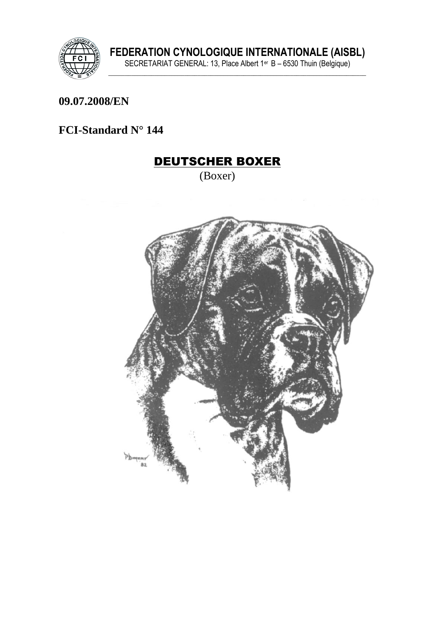

#### 09.07.2008/EN

### FCI-Standard N° 144

# **DEUTSCHER BOXER**

(Boxer)

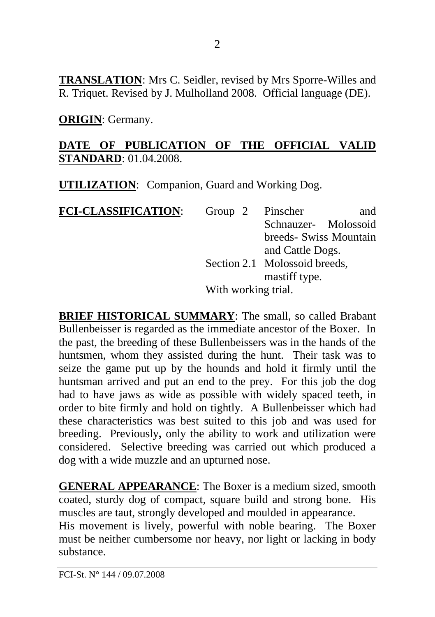**TRANSLATION**: Mrs C. Seidler, revised by Mrs Sporre-Willes and R. Triquet. Revised by J. Mulholland 2008. Official language (DE).

**ORIGIN**: Germany.

### **DATE OF PUBLICATION OF THE OFFICIAL VALID STANDARD**: 01.04.2008.

**UTILIZATION**: Companion, Guard and Working Dog.

| <b>FCI-CLASSIFICATION:</b> | Group $2$                     | Pinscher             | and                    |  |
|----------------------------|-------------------------------|----------------------|------------------------|--|
|                            |                               | Schnauzer- Molossoid |                        |  |
|                            |                               |                      | breeds- Swiss Mountain |  |
|                            |                               | and Cattle Dogs.     |                        |  |
|                            | Section 2.1 Molossoid breeds, |                      |                        |  |
|                            |                               | mastiff type.        |                        |  |
|                            | With working trial.           |                      |                        |  |

**BRIEF HISTORICAL SUMMARY:** The small, so called Brabant Bullenbeisser is regarded as the immediate ancestor of the Boxer. In the past, the breeding of these Bullenbeissers was in the hands of the huntsmen, whom they assisted during the hunt. Their task was to seize the game put up by the hounds and hold it firmly until the huntsman arrived and put an end to the prey. For this job the dog had to have jaws as wide as possible with widely spaced teeth, in order to bite firmly and hold on tightly. A Bullenbeisser which had these characteristics was best suited to this job and was used for breeding. Previously**,** only the ability to work and utilization were considered. Selective breeding was carried out which produced a dog with a wide muzzle and an upturned nose.

**GENERAL APPEARANCE**: The Boxer is a medium sized, smooth coated, sturdy dog of compact, square build and strong bone. His muscles are taut, strongly developed and moulded in appearance.

His movement is lively, powerful with noble bearing. The Boxer must be neither cumbersome nor heavy, nor light or lacking in body substance.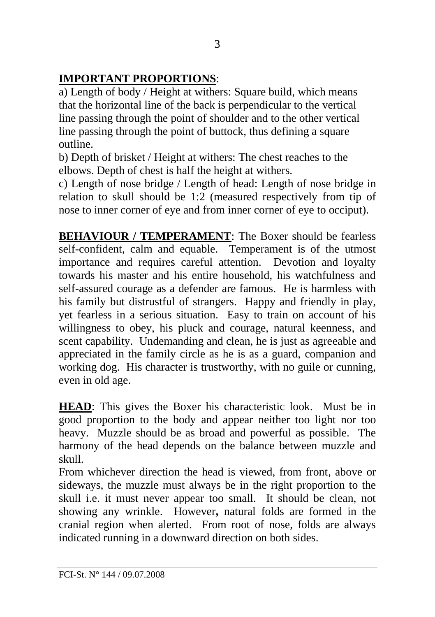# **IMPORTANT PROPORTIONS**:

a) Length of body / Height at withers: Square build, which means that the horizontal line of the back is perpendicular to the vertical line passing through the point of shoulder and to the other vertical line passing through the point of buttock, thus defining a square outline.

b) Depth of brisket / Height at withers: The chest reaches to the elbows. Depth of chest is half the height at withers.

c) Length of nose bridge / Length of head: Length of nose bridge in relation to skull should be 1:2 (measured respectively from tip of nose to inner corner of eye and from inner corner of eye to occiput).

**BEHAVIOUR / TEMPERAMENT:** The Boxer should be fearless self-confident, calm and equable. Temperament is of the utmost importance and requires careful attention. Devotion and loyalty towards his master and his entire household, his watchfulness and self-assured courage as a defender are famous. He is harmless with his family but distrustful of strangers. Happy and friendly in play, yet fearless in a serious situation. Easy to train on account of his willingness to obey, his pluck and courage, natural keenness, and scent capability. Undemanding and clean, he is just as agreeable and appreciated in the family circle as he is as a guard, companion and working dog. His character is trustworthy, with no guile or cunning, even in old age.

**HEAD**: This gives the Boxer his characteristic look. Must be in good proportion to the body and appear neither too light nor too heavy. Muzzle should be as broad and powerful as possible. The harmony of the head depends on the balance between muzzle and skull.

From whichever direction the head is viewed, from front, above or sideways, the muzzle must always be in the right proportion to the skull i.e. it must never appear too small. It should be clean, not showing any wrinkle. However**,** natural folds are formed in the cranial region when alerted. From root of nose, folds are always indicated running in a downward direction on both sides.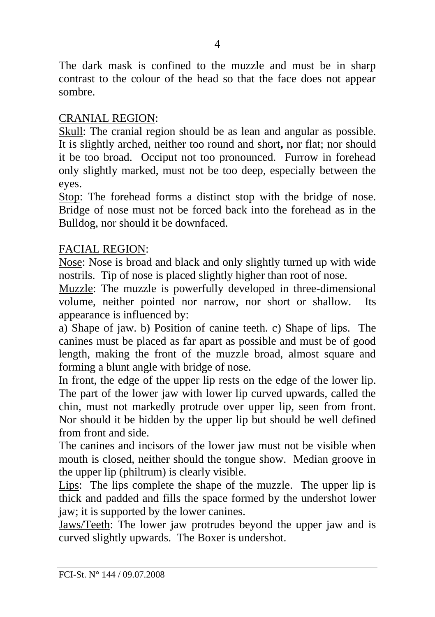The dark mask is confined to the muzzle and must be in sharp contrast to the colour of the head so that the face does not appear sombre.

#### CRANIAL REGION:

Skull: The cranial region should be as lean and angular as possible. It is slightly arched, neither too round and short**,** nor flat; nor should it be too broad. Occiput not too pronounced. Furrow in forehead only slightly marked, must not be too deep, especially between the eyes.

Stop: The forehead forms a distinct stop with the bridge of nose. Bridge of nose must not be forced back into the forehead as in the Bulldog, nor should it be downfaced.

#### FACIAL REGION:

Nose: Nose is broad and black and only slightly turned up with wide nostrils. Tip of nose is placed slightly higher than root of nose.

Muzzle: The muzzle is powerfully developed in three-dimensional volume, neither pointed nor narrow, nor short or shallow. Its appearance is influenced by:

a) Shape of jaw. b) Position of canine teeth. c) Shape of lips. The canines must be placed as far apart as possible and must be of good length, making the front of the muzzle broad, almost square and forming a blunt angle with bridge of nose.

In front, the edge of the upper lip rests on the edge of the lower lip. The part of the lower jaw with lower lip curved upwards, called the chin, must not markedly protrude over upper lip, seen from front. Nor should it be hidden by the upper lip but should be well defined from front and side.

The canines and incisors of the lower jaw must not be visible when mouth is closed, neither should the tongue show. Median groove in the upper lip (philtrum) is clearly visible.

Lips: The lips complete the shape of the muzzle. The upper lip is thick and padded and fills the space formed by the undershot lower jaw; it is supported by the lower canines.

Jaws/Teeth: The lower jaw protrudes beyond the upper jaw and is curved slightly upwards. The Boxer is undershot.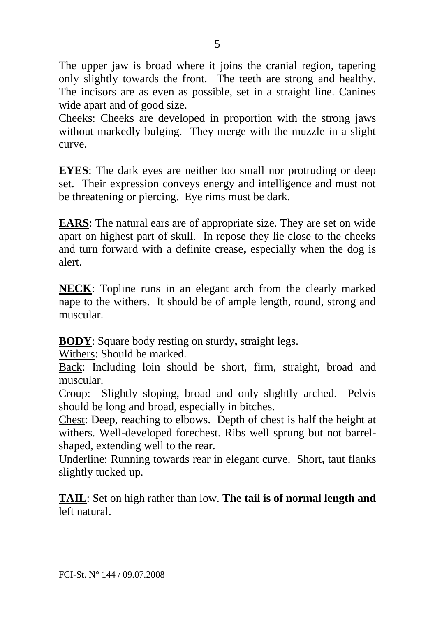The upper jaw is broad where it joins the cranial region, tapering only slightly towards the front. The teeth are strong and healthy. The incisors are as even as possible, set in a straight line. Canines wide apart and of good size.

Cheeks: Cheeks are developed in proportion with the strong jaws without markedly bulging. They merge with the muzzle in a slight curve.

**EYES**: The dark eyes are neither too small nor protruding or deep set. Their expression conveys energy and intelligence and must not be threatening or piercing. Eye rims must be dark.

**EARS**: The natural ears are of appropriate size. They are set on wide apart on highest part of skull. In repose they lie close to the cheeks and turn forward with a definite crease**,** especially when the dog is alert.

**NECK**: Topline runs in an elegant arch from the clearly marked nape to the withers. It should be of ample length, round, strong and muscular.

**BODY**: Square body resting on sturdy**,** straight legs.

Withers: Should be marked.

Back: Including loin should be short, firm, straight, broad and muscular.

Croup: Slightly sloping, broad and only slightly arched. Pelvis should be long and broad, especially in bitches.

Chest: Deep, reaching to elbows. Depth of chest is half the height at withers. Well-developed forechest. Ribs well sprung but not barrelshaped, extending well to the rear.

Underline: Running towards rear in elegant curve. Short**,** taut flanks slightly tucked up.

**TAIL**: Set on high rather than low. **The tail is of normal length and**  left natural.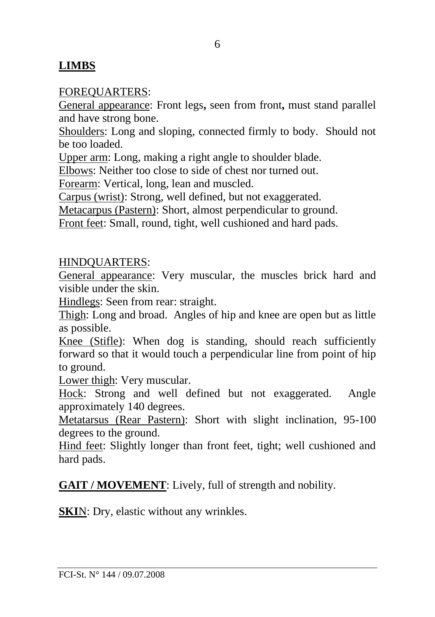### **LIMBS**

#### FOREQUARTERS:

General appearance: Front legs**,** seen from front**,** must stand parallel and have strong bone.

Shoulders: Long and sloping, connected firmly to body. Should not be too loaded.

Upper arm: Long, making a right angle to shoulder blade.

Elbows: Neither too close to side of chest nor turned out.

Forearm: Vertical, long, lean and muscled.

Carpus (wrist): Strong, well defined, but not exaggerated.

Metacarpus (Pastern): Short, almost perpendicular to ground.

Front feet: Small, round, tight, well cushioned and hard pads.

#### HINDQUARTERS:

General appearance: Very muscular, the muscles brick hard and visible under the skin.

Hindlegs: Seen from rear: straight.

Thigh: Long and broad. Angles of hip and knee are open but as little as possible.

Knee (Stifle): When dog is standing, should reach sufficiently forward so that it would touch a perpendicular line from point of hip to ground.

Lower thigh: Very muscular.

Hock: Strong and well defined but not exaggerated. Angle approximately 140 degrees.

Metatarsus (Rear Pastern): Short with slight inclination, 95-100 degrees to the ground.

Hind feet: Slightly longer than front feet, tight; well cushioned and hard pads.

**GAIT / MOVEMENT**: Lively, full of strength and nobility.

**SKI**N: Dry, elastic without any wrinkles.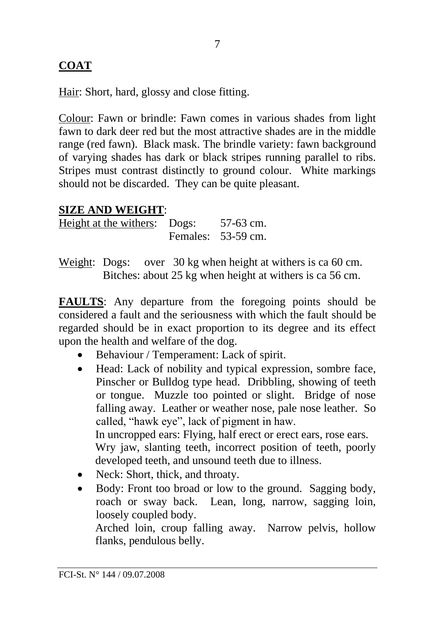# **COAT**

Hair: Short, hard, glossy and close fitting.

Colour: Fawn or brindle: Fawn comes in various shades from light fawn to dark deer red but the most attractive shades are in the middle range (red fawn). Black mask. The brindle variety: fawn background of varying shades has dark or black stripes running parallel to ribs. Stripes must contrast distinctly to ground colour. White markings should not be discarded. They can be quite pleasant.

### **SIZE AND WEIGHT**:

Height at the withers: Dogs: 57-63 cm. Females: 53-59 cm.

Weight: Dogs: over 30 kg when height at withers is ca 60 cm. Bitches: about 25 kg when height at withers is ca 56 cm.

**FAULTS**: Any departure from the foregoing points should be considered a fault and the seriousness with which the fault should be regarded should be in exact proportion to its degree and its effect upon the health and welfare of the dog.

- Behaviour / Temperament: Lack of spirit.
- Head: Lack of nobility and typical expression, sombre face, Pinscher or Bulldog type head. Dribbling, showing of teeth or tongue. Muzzle too pointed or slight. Bridge of nose falling away. Leather or weather nose, pale nose leather. So called, "hawk eye", lack of pigment in haw. In uncropped ears: Flying, half erect or erect ears, rose ears. Wry jaw, slanting teeth, incorrect position of teeth, poorly developed teeth, and unsound teeth due to illness.
- Neck: Short, thick, and throaty.
- Body: Front too broad or low to the ground. Sagging body, roach or sway back. Lean, long, narrow, sagging loin, loosely coupled body.

Arched loin, croup falling away. Narrow pelvis, hollow flanks, pendulous belly.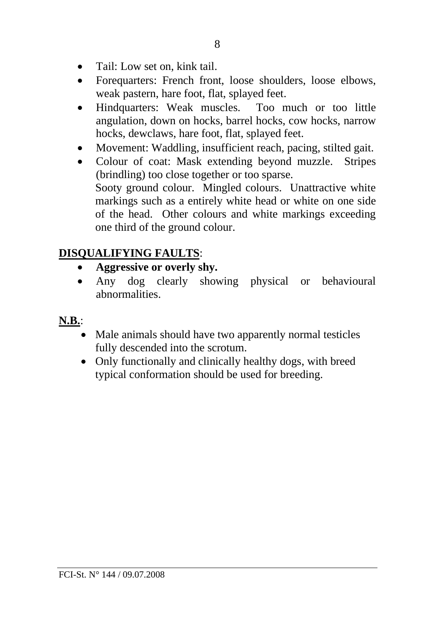- Tail: Low set on, kink tail.
- Forequarters: French front, loose shoulders, loose elbows, weak pastern, hare foot, flat, splayed feet.
- Hindquarters: Weak muscles. Too much or too little angulation, down on hocks, barrel hocks, cow hocks, narrow hocks, dewclaws, hare foot, flat, splayed feet.
- Movement: Waddling, insufficient reach, pacing, stilted gait.
- Colour of coat: Mask extending beyond muzzle. Stripes (brindling) too close together or too sparse. Sooty ground colour. Mingled colours. Unattractive white markings such as a entirely white head or white on one side of the head. Other colours and white markings exceeding one third of the ground colour.

### **DISQUALIFYING FAULTS**:

- **Aggressive or overly shy.**
- Any dog clearly showing physical or behavioural abnormalities.
- **N.B.**:
	- Male animals should have two apparently normal testicles fully descended into the scrotum.
	- Only functionally and clinically healthy dogs, with breed typical conformation should be used for breeding.